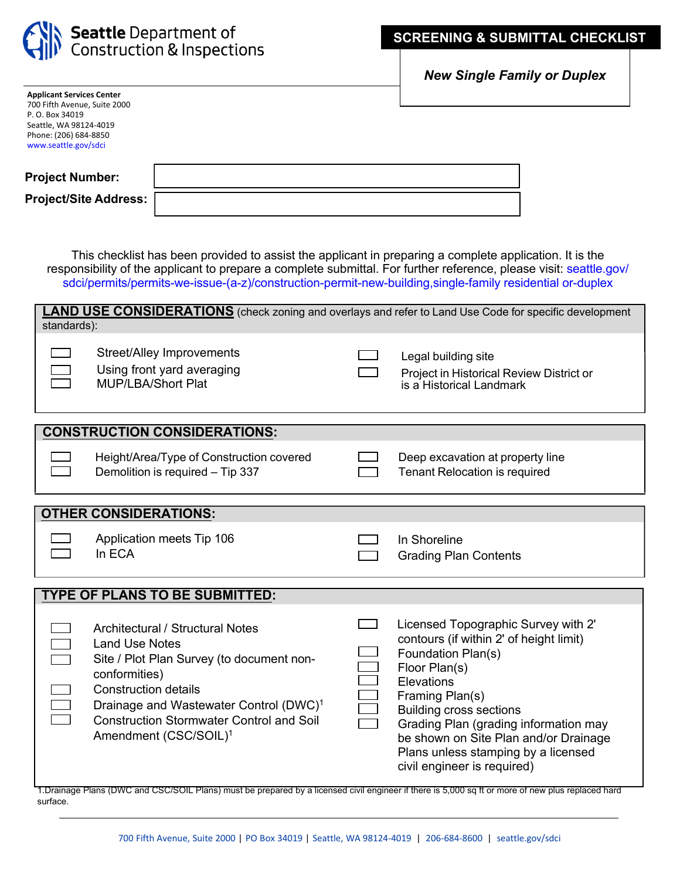

 $\Box$ 

*New Single Family or Duplex* 

| <b>Project Number:</b>  |  |
|-------------------------|--|
| Project/Site Address: [ |  |

This checklist has been provided to assist the applicant in preparing a complete application. It is the responsibility of the applicant to prepare a complete submittal. For further reference, please visit: seattle.gov/ [sdci/permits/permits-we-issue-\(a-z\)/construction-permit-new-building,single-family residential or-duplex](http://www.seattle.gov/sdci/permits/permits-we-issue-(a-z)/construction-permit%C2%A0--new-building-single-family-residential%C2%A0or-duplex)

| <b>LAND USE CONSIDERATIONS</b> (check zoning and overlays and refer to Land Use Code for specific development<br>standards): |                                                                                                                                                                                                                     |  |                                                                                                                                                                                          |  |  |  |
|------------------------------------------------------------------------------------------------------------------------------|---------------------------------------------------------------------------------------------------------------------------------------------------------------------------------------------------------------------|--|------------------------------------------------------------------------------------------------------------------------------------------------------------------------------------------|--|--|--|
|                                                                                                                              | <b>Street/Alley Improvements</b><br>Using front yard averaging<br><b>MUP/LBA/Short Plat</b>                                                                                                                         |  | Legal building site<br>Project in Historical Review District or<br>is a Historical Landmark                                                                                              |  |  |  |
| <b>CONSTRUCTION CONSIDERATIONS:</b>                                                                                          |                                                                                                                                                                                                                     |  |                                                                                                                                                                                          |  |  |  |
|                                                                                                                              | Height/Area/Type of Construction covered<br>Demolition is required - Tip 337                                                                                                                                        |  | Deep excavation at property line<br><b>Tenant Relocation is required</b>                                                                                                                 |  |  |  |
|                                                                                                                              |                                                                                                                                                                                                                     |  |                                                                                                                                                                                          |  |  |  |
|                                                                                                                              | <b>OTHER CONSIDERATIONS:</b>                                                                                                                                                                                        |  |                                                                                                                                                                                          |  |  |  |
|                                                                                                                              | Application meets Tip 106<br>In ECA                                                                                                                                                                                 |  | In Shoreline<br><b>Grading Plan Contents</b>                                                                                                                                             |  |  |  |
| <b>TYPE OF PLANS TO BE SUBMITTED:</b>                                                                                        |                                                                                                                                                                                                                     |  |                                                                                                                                                                                          |  |  |  |
|                                                                                                                              | <b>Architectural / Structural Notes</b><br><b>Land Use Notes</b><br>Site / Plot Plan Survey (to document non-<br>conformities)<br><b>Construction details</b><br>Drainage and Wastewater Control (DWC) <sup>1</sup> |  | Licensed Topographic Survey with 2'<br>contours (if within 2' of height limit)<br>Foundation Plan(s)<br>Floor Plan(s)<br><b>Elevations</b><br>Framing Plan(s)<br>Ruilding cross sections |  |  |  |

| Diamage and viasiewater Control (DWC)           |  | Building cross sections               |
|-------------------------------------------------|--|---------------------------------------|
| <b>Construction Stormwater Control and Soil</b> |  | Grading Plan (grading information may |
| Amendment (CSC/SOIL) <sup>1</sup>               |  | be shown on Site Plan and/or Drainage |
|                                                 |  | Plans unless stamping by a licensed   |
|                                                 |  | civil engineer is required)           |

1.Drainage Plans (DWC and CSC/SOIL Plans) must be prepared by a licensed civil engineer if there is 5,000 sq ft or more of new plus replaced hard surface.